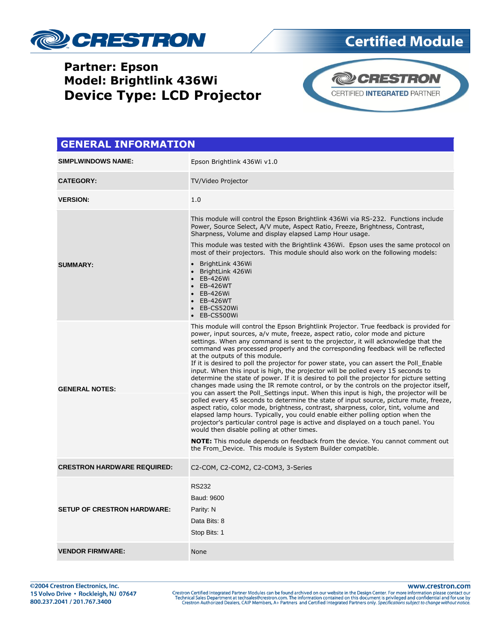

# **Partner: Epson Model: Brightlink 436Wi Device Type: LCD Projector**



**Certified Module** 

#### **GENERAL INFORMATION SIMPLWINDOWS NAME:** Epson Brightlink 436Wi v1.0 **CATEGORY:** TV/Video Projector **VERSION:** 1.0 **SUMMARY:** This module will control the Epson Brightlink 436Wi via RS-232. Functions include Power, Source Select, A/V mute, Aspect Ratio, Freeze, Brightness, Contrast, Sharpness, Volume and display elapsed Lamp Hour usage. This module was tested with the Brightlink 436Wi. Epson uses the same protocol on most of their projectors. This module should also work on the following models: BrightLink 436Wi BrightLink 426Wi EB-426Wi EB-426WT EB-426Wi EB-426WT **EB-CS520Wi**  EB-CS500Wi **GENERAL NOTES:** This module will control the Epson Brightlink Projector. True feedback is provided for power, input sources, a/v mute, freeze, aspect ratio, color mode and picture settings. When any command is sent to the projector, it will acknowledge that the command was processed properly and the corresponding feedback will be reflected at the outputs of this module. If it is desired to poll the projector for power state, you can assert the Poll\_Enable input. When this input is high, the projector will be polled every 15 seconds to determine the state of power. If it is desired to poll the projector for picture setting changes made using the IR remote control, or by the controls on the projector itself, you can assert the Poll\_Settings input. When this input is high, the projector will be polled every 45 seconds to determine the state of input source, picture mute, freeze, aspect ratio, color mode, brightness, contrast, sharpness, color, tint, volume and elapsed lamp hours. Typically, you could enable either polling option when the projector's particular control page is active and displayed on a touch panel. You would then disable polling at other times. **NOTE:** This module depends on feedback from the device. You cannot comment out the From\_Device. This module is System Builder compatible. **CRESTRON HARDWARE REQUIRED:** C2-COM, C2-COM2, C2-COM3, 3-Series **SETUP OF CRESTRON HARDWARE:** RS232 Baud: 9600 Parity: N Data Bits: 8 Stop Bits: 1 **VENDOR FIRMWARE:** None

www.crestron.com Crestron Certified Integrated Partner Modules can be found archived on our website in the Design Center. For more information please contact our<br>Technical Sales Department at techsales@crestron.com. The information contain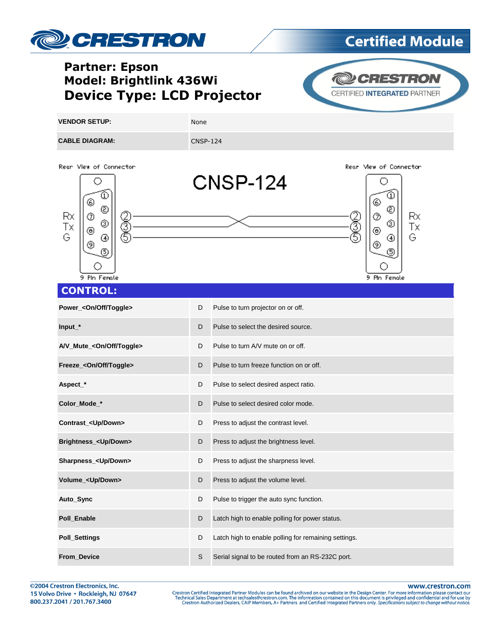

# **Certified Module**

# **Partner: Epson Model: Brightlink 436Wi Device Type: LCD Projector**



Rear Mew of Connector

(5)

Rx.

Tх

G

**VENDOR SETUP:** None **CABLE DIAGRAM:** CABLE DIAGRAM:







### **CONTROL:**

| Power_ <on off="" toggle=""></on>    | D | Pulse to turn projector on or off.                   |
|--------------------------------------|---|------------------------------------------------------|
| $Input*$                             | D | Pulse to select the desired source.                  |
| A/V_Mute_ <on off="" toggle=""></on> | D | Pulse to turn A/V mute on or off.                    |
| Freeze_ <on off="" toggle=""></on>   | D | Pulse to turn freeze function on or off.             |
| Aspect_*                             | D | Pulse to select desired aspect ratio.                |
| Color Mode *                         | D | Pulse to select desired color mode.                  |
| Contrast_ <up down=""></up>          | D | Press to adjust the contrast level.                  |
| Brightness_ <up down=""></up>        | D | Press to adjust the brightness level.                |
| Sharpness_ <up down=""></up>         | D | Press to adjust the sharpness level.                 |
| Volume_ <up down=""></up>            | D | Press to adjust the volume level.                    |
| Auto_Sync                            | D | Pulse to trigger the auto sync function.             |
| Poll Enable                          | D | Latch high to enable polling for power status.       |
| <b>Poll_Settings</b>                 | D | Latch high to enable polling for remaining settings. |
| From_Device                          | S | Serial signal to be routed from an RS-232C port.     |

www.crestron.com

Crestron Certified Integrated Partner Modules can be found archived on our website in the Design Center. For more information please contact our Technical Sales Department at techsales@crestron.com. The information contain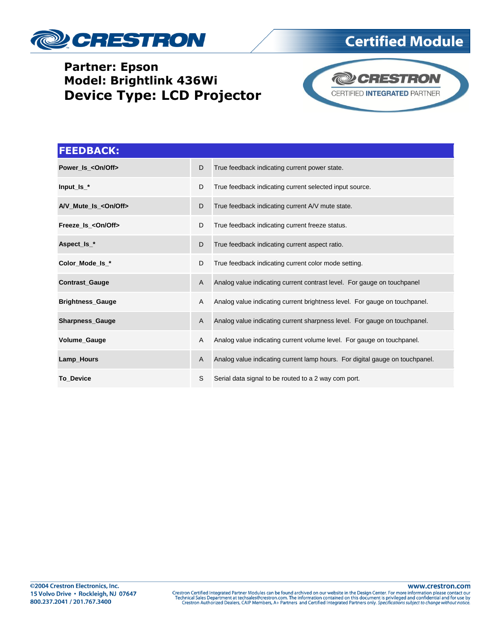

# **Partner: Epson Model: Brightlink 436Wi Device Type: LCD Projector**



**Certified Module** 

| <b>FEEDBACK:</b>              |   |                                                                              |
|-------------------------------|---|------------------------------------------------------------------------------|
| Power_Is_ <on off=""></on>    | D | True feedback indicating current power state.                                |
| $Input$ $Is$ $*$              | D | True feedback indicating current selected input source.                      |
| A/V_Mute_Is_ <on off=""></on> | D | True feedback indicating current A/V mute state.                             |
| Freeze Is < On/Off>           | D | True feedback indicating current freeze status.                              |
| Aspect_Is_*                   | D | True feedback indicating current aspect ratio.                               |
| Color_Mode_Is_*               | D | True feedback indicating current color mode setting.                         |
| <b>Contrast_Gauge</b>         | A | Analog value indicating current contrast level. For gauge on touchpanel      |
| <b>Brightness_Gauge</b>       | A | Analog value indicating current brightness level. For gauge on touchpanel.   |
| Sharpness_Gauge               | A | Analog value indicating current sharpness level. For gauge on touchpanel.    |
| <b>Volume Gauge</b>           | A | Analog value indicating current volume level. For gauge on touchpanel.       |
| Lamp_Hours                    | A | Analog value indicating current lamp hours. For digital gauge on touchpanel. |
| <b>To Device</b>              | S | Serial data signal to be routed to a 2 way com port.                         |

www.crestron.com Crestron Certified Integrated Partner Modules can be found archived on our website in the Design Center. For more information please contact our<br>Technical Sales Department at techsales@crestron.com. The information contain